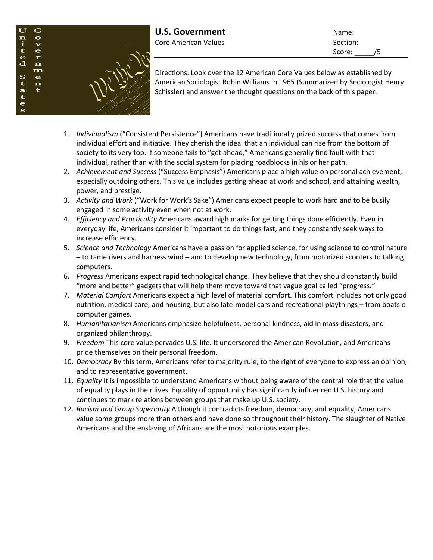

Score: /5

Directions: Look over the 12 American Core Values below as established by American Sociologist Robin Williams in 1965 (Summarized by Sociologist Henry Schissler) and answer the thought questions on the back of this paper.

- 1. *Individualism* ("Consistent Persistence") Americans have traditionally prized success that comes from individual effort and initiative. They cherish the ideal that an individual can rise from the bottom of society to its very top. If someone fails to "get ahead," Americans generally find fault with that individual, rather than with the social system for placing roadblocks in his or her path.
- 2. *Achievement and Success* ("Success Emphasis") Americans place a high value on personal achievement, especially outdoing others. This value includes getting ahead at work and school, and attaining wealth, power, and prestige.
- 3. *Activity and Work* ("Work for Work's Sake") Americans expect people to work hard and to be busily engaged in some activity even when not at work.
- 4. *Efficiency and Practicality* Americans award high marks for getting things done efficiently. Even in everyday life, Americans consider it important to do things fast, and they constantly seek ways to increase efficiency.
- 5. *Science and Technology* Americans have a passion for applied science, for using science to control nature – to tame rivers and harness wind – and to develop new technology, from motorized scooters to talking computers.
- 6. *Progress* Americans expect rapid technological change. They believe that they should constantly build "more and better" gadgets that will help them move toward that vague goal called "progress."
- 7. *Material Comfort* Americans expect a high level of material comfort. This comfort includes not only good nutrition, medical care, and housing, but also late-model cars and recreational playthings – from boats o computer games.
- 8. *Humanitarianism* Americans emphasize helpfulness, personal kindness, aid in mass disasters, and organized philanthropy.
- 9. *Freedom* This core value pervades U.S. life. It underscored the American Revolution, and Americans pride themselves on their personal freedom.
- 10. *Democracy* By this term, Americans refer to majority rule, to the right of everyone to express an opinion, and to representative government.
- 11. *Equality* It is impossible to understand Americans without being aware of the central role that the value of equality plays in their lives. Equality of opportunity has significantly influenced U.S. history and continues to mark relations between groups that make up U.S. society.
- 12. *Racism and Group Superiority* Although it contradicts freedom, democracy, and equality, Americans value some groups more than others and have done so throughout their history. The slaughter of Native Americans and the enslaving of Africans are the most notorious examples.